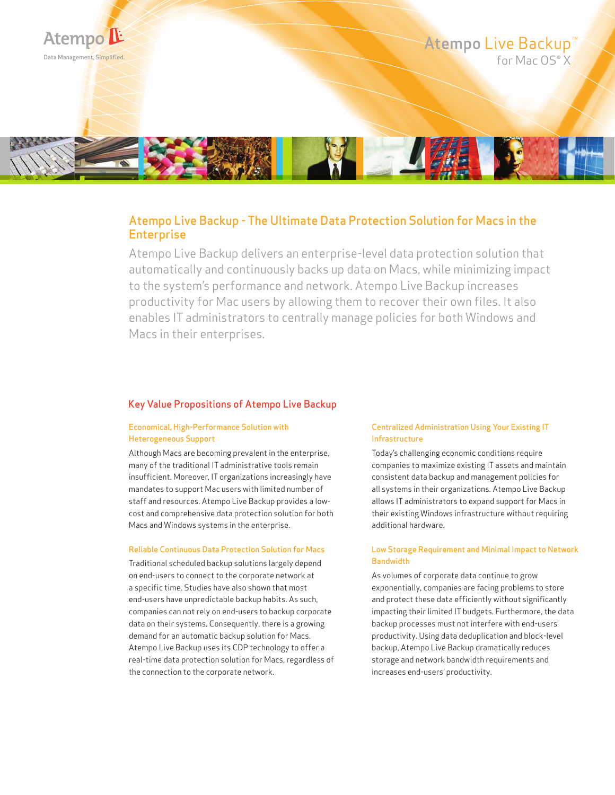

## Atempo Live Backup - The Ultimate Data Protection Solution for Macs in the **Enterprise**

Atempo Live Backup delivers an enterprise-level data protection solution that automatically and continuously backs up data on Macs, while minimizing impact to the system's performance and network. Atempo Live Backup increases productivity for Mac users by allowing them to recover their own files. It also enables IT administrators to centrally manage policies for both Windows and Macs in their enterprises.

#### Key Value Propositions of Atempo Live Backup

### Economical, High-Performance Solution with Heterogeneous Support

Although Macs are becoming prevalent in the enterprise, many of the traditional IT administrative tools remain insufficient. Moreover, IT organizations increasingly have mandates to support Mac users with limited number of staff and resources. Atempo Live Backup provides a lowcost and comprehensive data protection solution for both Macs and Windows systems in the enterprise.

#### Reliable Continuous Data Protection Solution for Macs

Traditional scheduled backup solutions largely depend on end-users to connect to the corporate network at a specific time. Studies have also shown that most end-users have unpredictable backup habits. As such, companies can not rely on end-users to backup corporate data on their systems. Consequently, there is a growing demand for an automatic backup solution for Macs. Atempo Live Backup uses its CDP technology to offer a real-time data protection solution for Macs, regardless of the connection to the corporate network.

#### Centralized Administration Using Your Existing IT Infrastructure

Today's challenging economic conditions require companies to maximize existing IT assets and maintain consistent data backup and management policies for all systems in their organizations. Atempo Live Backup allows IT administrators to expand support for Macs in their existing Windows infrastructure without requiring additional hardware.

#### Low Storage Requirement and Minimal Impact to Network **Bandwidth**

As volumes of corporate data continue to grow exponentially, companies are facing problems to store and protect these data efficiently without significantly impacting their limited IT budgets. Furthermore, the data backup processes must not interfere with end-users' productivity. Using data deduplication and block-level backup, Atempo Live Backup dramatically reduces storage and network bandwidth requirements and increases end-users' productivity.